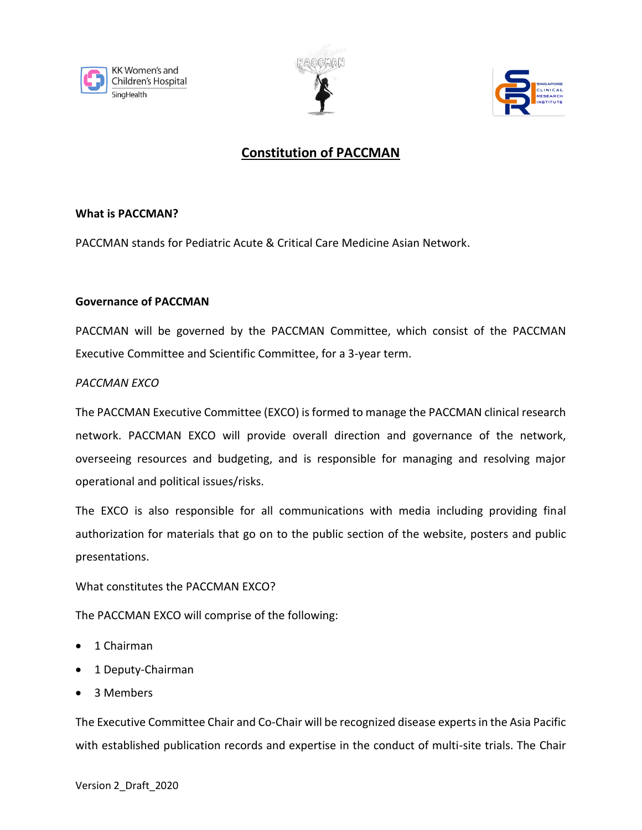





# **Constitution of PACCMAN**

## **What is PACCMAN?**

PACCMAN stands for Pediatric Acute & Critical Care Medicine Asian Network.

#### **Governance of PACCMAN**

PACCMAN will be governed by the PACCMAN Committee, which consist of the PACCMAN Executive Committee and Scientific Committee, for a 3-year term.

## *PACCMAN EXCO*

The PACCMAN Executive Committee (EXCO) is formed to manage the PACCMAN clinical research network. PACCMAN EXCO will provide overall direction and governance of the network, overseeing resources and budgeting, and is responsible for managing and resolving major operational and political issues/risks.

The EXCO is also responsible for all communications with media including providing final authorization for materials that go on to the public section of the website, posters and public presentations.

What constitutes the PACCMAN EXCO?

The PACCMAN EXCO will comprise of the following:

- 1 Chairman
- 1 Deputy-Chairman
- 3 Members

The Executive Committee Chair and Co-Chair will be recognized disease experts in the Asia Pacific with established publication records and expertise in the conduct of multi-site trials. The Chair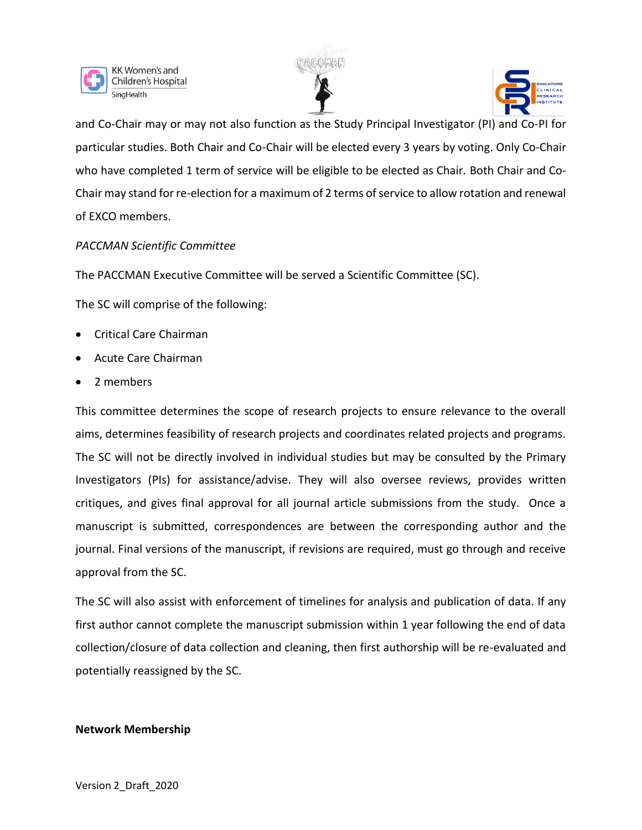





and Co-Chair may or may not also function as the Study Principal Investigator (PI) and Co-PI for particular studies. Both Chair and Co-Chair will be elected every 3 years by voting. Only Co-Chair who have completed 1 term of service will be eligible to be elected as Chair. Both Chair and Co-Chair may stand for re-election for a maximum of 2 terms of service to allow rotation and renewal of EXCO members.

#### *PACCMAN Scientific Committee*

The PACCMAN Executive Committee will be served a Scientific Committee (SC).

The SC will comprise of the following:

- Critical Care Chairman
- Acute Care Chairman
- 2 members

This committee determines the scope of research projects to ensure relevance to the overall aims, determines feasibility of research projects and coordinates related projects and programs. The SC will not be directly involved in individual studies but may be consulted by the Primary Investigators (PIs) for assistance/advise. They will also oversee reviews, provides written critiques, and gives final approval for all journal article submissions from the study. Once a manuscript is submitted, correspondences are between the corresponding author and the journal. Final versions of the manuscript, if revisions are required, must go through and receive approval from the SC.

The SC will also assist with enforcement of timelines for analysis and publication of data. If any first author cannot complete the manuscript submission within 1 year following the end of data collection/closure of data collection and cleaning, then first authorship will be re-evaluated and potentially reassigned by the SC.

#### **Network Membership**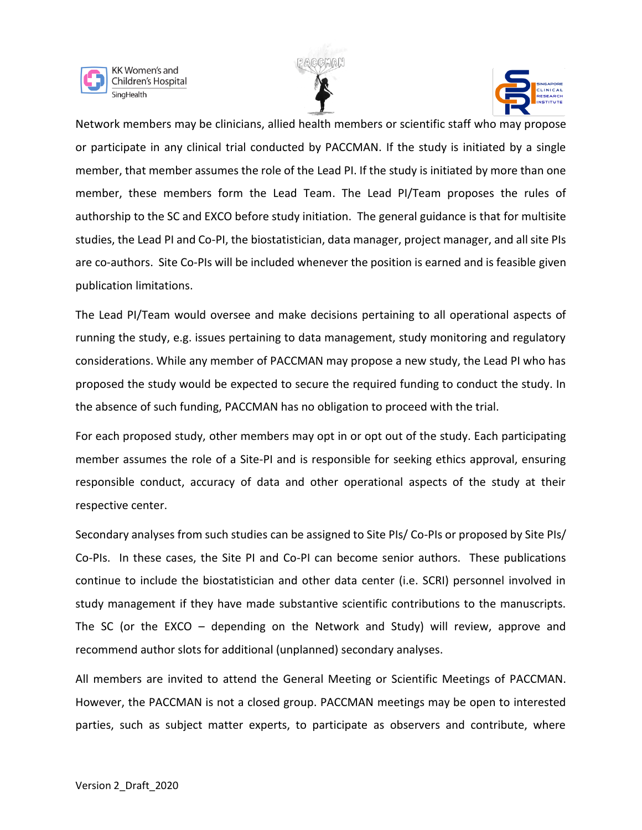





Network members may be clinicians, allied health members or scientific staff who may propose or participate in any clinical trial conducted by PACCMAN. If the study is initiated by a single member, that member assumes the role of the Lead PI. If the study is initiated by more than one member, these members form the Lead Team. The Lead PI/Team proposes the rules of authorship to the SC and EXCO before study initiation. The general guidance is that for multisite studies, the Lead PI and Co-PI, the biostatistician, data manager, project manager, and all site PIs are co-authors. Site Co-PIs will be included whenever the position is earned and is feasible given publication limitations.

The Lead PI/Team would oversee and make decisions pertaining to all operational aspects of running the study, e.g. issues pertaining to data management, study monitoring and regulatory considerations. While any member of PACCMAN may propose a new study, the Lead PI who has proposed the study would be expected to secure the required funding to conduct the study. In the absence of such funding, PACCMAN has no obligation to proceed with the trial.

For each proposed study, other members may opt in or opt out of the study. Each participating member assumes the role of a Site-PI and is responsible for seeking ethics approval, ensuring responsible conduct, accuracy of data and other operational aspects of the study at their respective center.

Secondary analyses from such studies can be assigned to Site PIs/ Co-PIs or proposed by Site PIs/ Co-PIs. In these cases, the Site PI and Co-PI can become senior authors. These publications continue to include the biostatistician and other data center (i.e. SCRI) personnel involved in study management if they have made substantive scientific contributions to the manuscripts. The SC (or the EXCO – depending on the Network and Study) will review, approve and recommend author slots for additional (unplanned) secondary analyses.

All members are invited to attend the General Meeting or Scientific Meetings of PACCMAN. However, the PACCMAN is not a closed group. PACCMAN meetings may be open to interested parties, such as subject matter experts, to participate as observers and contribute, where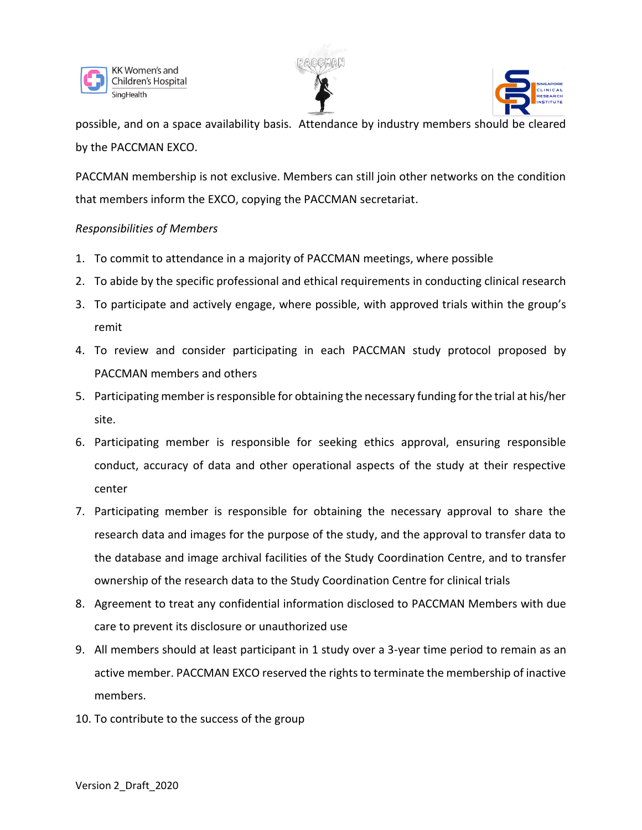





possible, and on a space availability basis. Attendance by industry members should be cleared by the PACCMAN EXCO.

PACCMAN membership is not exclusive. Members can still join other networks on the condition that members inform the EXCO, copying the PACCMAN secretariat.

## *Responsibilities of Members*

- 1. To commit to attendance in a majority of PACCMAN meetings, where possible
- 2. To abide by the specific professional and ethical requirements in conducting clinical research
- 3. To participate and actively engage, where possible, with approved trials within the group's remit
- 4. To review and consider participating in each PACCMAN study protocol proposed by PACCMAN members and others
- 5. Participating member is responsible for obtaining the necessary funding for the trial at his/her site.
- 6. Participating member is responsible for seeking ethics approval, ensuring responsible conduct, accuracy of data and other operational aspects of the study at their respective center
- 7. Participating member is responsible for obtaining the necessary approval to share the research data and images for the purpose of the study, and the approval to transfer data to the database and image archival facilities of the Study Coordination Centre, and to transfer ownership of the research data to the Study Coordination Centre for clinical trials
- 8. Agreement to treat any confidential information disclosed to PACCMAN Members with due care to prevent its disclosure or unauthorized use
- 9. All members should at least participant in 1 study over a 3-year time period to remain as an active member. PACCMAN EXCO reserved the rights to terminate the membership of inactive members.
- 10. To contribute to the success of the group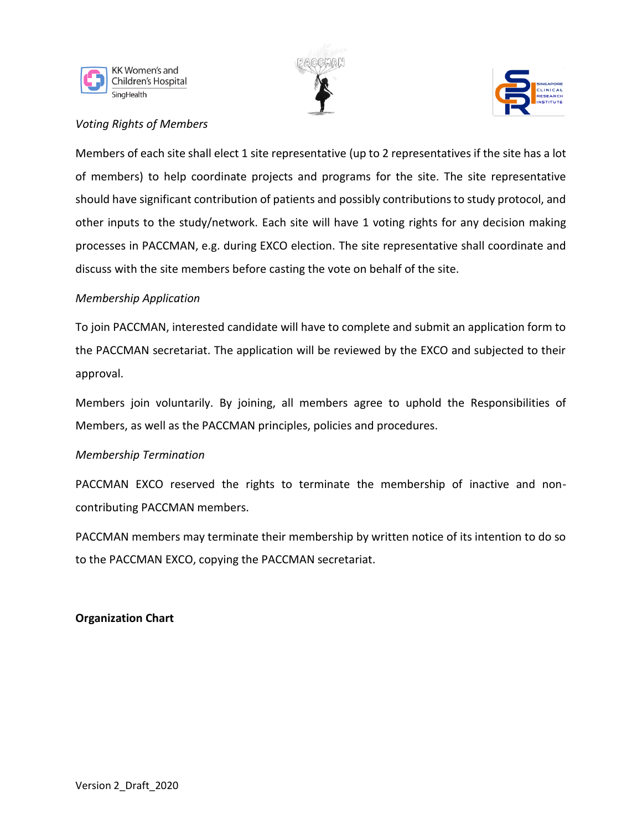





# *Voting Rights of Members*

Members of each site shall elect 1 site representative (up to 2 representatives if the site has a lot of members) to help coordinate projects and programs for the site. The site representative should have significant contribution of patients and possibly contributions to study protocol, and other inputs to the study/network. Each site will have 1 voting rights for any decision making processes in PACCMAN, e.g. during EXCO election. The site representative shall coordinate and discuss with the site members before casting the vote on behalf of the site.

## *Membership Application*

To join PACCMAN, interested candidate will have to complete and submit an application form to the PACCMAN secretariat. The application will be reviewed by the EXCO and subjected to their approval.

Members join voluntarily. By joining, all members agree to uphold the Responsibilities of Members, as well as the PACCMAN principles, policies and procedures.

# *Membership Termination*

PACCMAN EXCO reserved the rights to terminate the membership of inactive and noncontributing PACCMAN members.

PACCMAN members may terminate their membership by written notice of its intention to do so to the PACCMAN EXCO, copying the PACCMAN secretariat.

# **Organization Chart**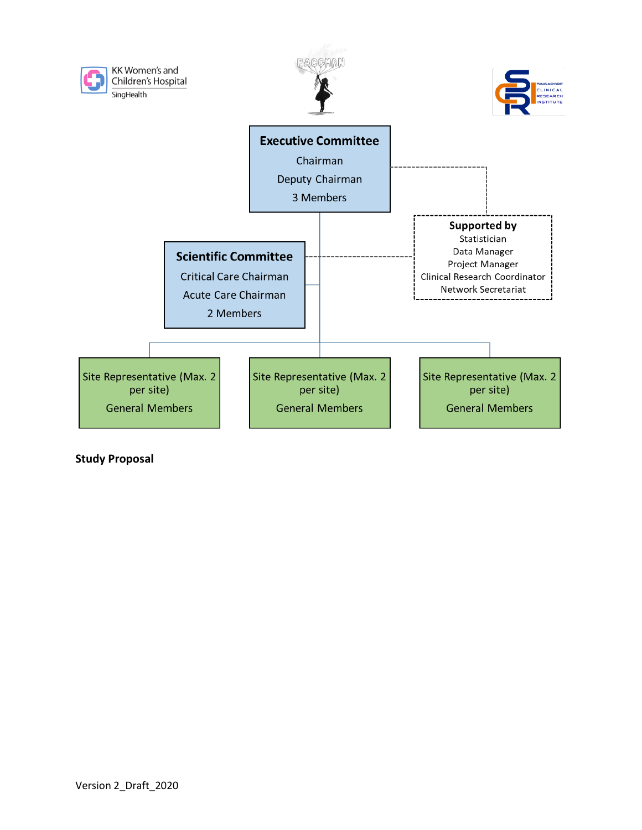

**Study Proposal**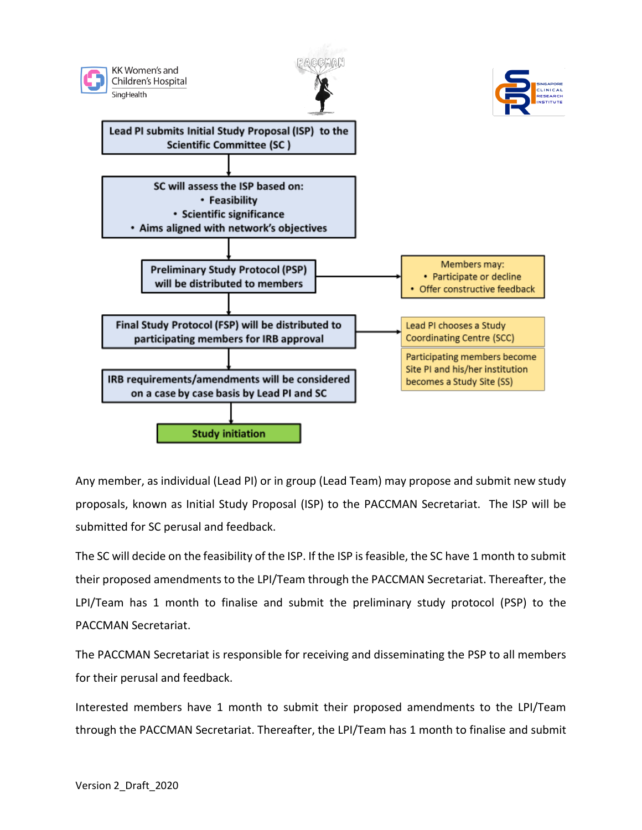

Any member, as individual (Lead PI) or in group (Lead Team) may propose and submit new study proposals, known as Initial Study Proposal (ISP) to the PACCMAN Secretariat. The ISP will be submitted for SC perusal and feedback.

The SC will decide on the feasibility of the ISP. If the ISP is feasible, the SC have 1 month to submit their proposed amendments to the LPI/Team through the PACCMAN Secretariat. Thereafter, the LPI/Team has 1 month to finalise and submit the preliminary study protocol (PSP) to the PACCMAN Secretariat.

The PACCMAN Secretariat is responsible for receiving and disseminating the PSP to all members for their perusal and feedback.

Interested members have 1 month to submit their proposed amendments to the LPI/Team through the PACCMAN Secretariat. Thereafter, the LPI/Team has 1 month to finalise and submit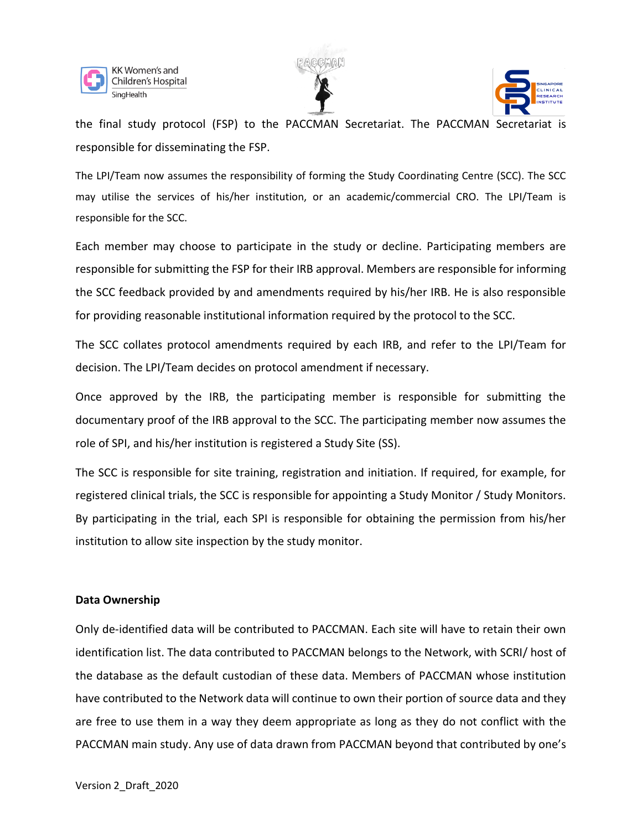





the final study protocol (FSP) to the PACCMAN Secretariat. The PACCMAN Secretariat is responsible for disseminating the FSP.

The LPI/Team now assumes the responsibility of forming the Study Coordinating Centre (SCC). The SCC may utilise the services of his/her institution, or an academic/commercial CRO. The LPI/Team is responsible for the SCC.

Each member may choose to participate in the study or decline. Participating members are responsible for submitting the FSP for their IRB approval. Members are responsible for informing the SCC feedback provided by and amendments required by his/her IRB. He is also responsible for providing reasonable institutional information required by the protocol to the SCC.

The SCC collates protocol amendments required by each IRB, and refer to the LPI/Team for decision. The LPI/Team decides on protocol amendment if necessary.

Once approved by the IRB, the participating member is responsible for submitting the documentary proof of the IRB approval to the SCC. The participating member now assumes the role of SPI, and his/her institution is registered a Study Site (SS).

The SCC is responsible for site training, registration and initiation. If required, for example, for registered clinical trials, the SCC is responsible for appointing a Study Monitor / Study Monitors. By participating in the trial, each SPI is responsible for obtaining the permission from his/her institution to allow site inspection by the study monitor.

#### **Data Ownership**

Only de-identified data will be contributed to PACCMAN. Each site will have to retain their own identification list. The data contributed to PACCMAN belongs to the Network, with SCRI/ host of the database as the default custodian of these data. Members of PACCMAN whose institution have contributed to the Network data will continue to own their portion of source data and they are free to use them in a way they deem appropriate as long as they do not conflict with the PACCMAN main study. Any use of data drawn from PACCMAN beyond that contributed by one's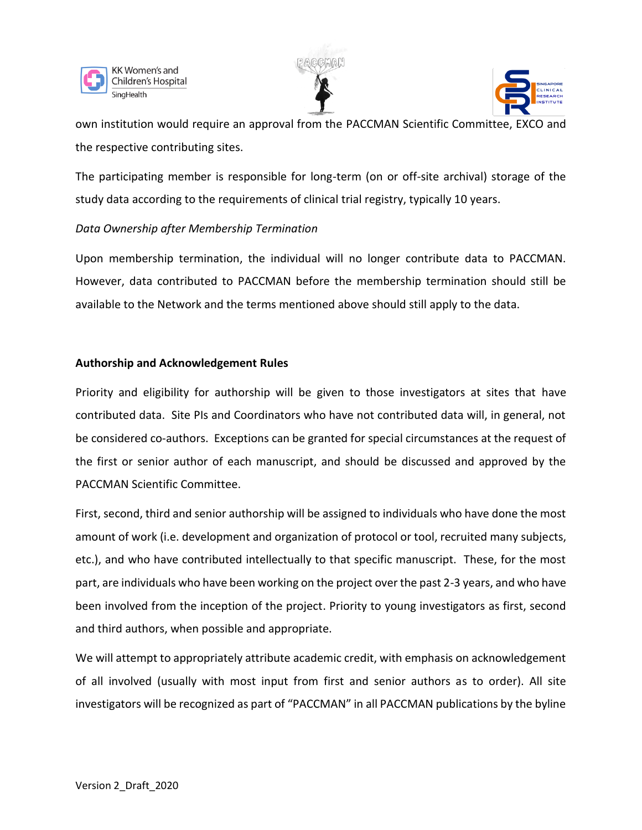





own institution would require an approval from the PACCMAN Scientific Committee, EXCO and the respective contributing sites.

The participating member is responsible for long-term (on or off-site archival) storage of the study data according to the requirements of clinical trial registry, typically 10 years.

# *Data Ownership after Membership Termination*

Upon membership termination, the individual will no longer contribute data to PACCMAN. However, data contributed to PACCMAN before the membership termination should still be available to the Network and the terms mentioned above should still apply to the data.

## **Authorship and Acknowledgement Rules**

Priority and eligibility for authorship will be given to those investigators at sites that have contributed data. Site PIs and Coordinators who have not contributed data will, in general, not be considered co-authors. Exceptions can be granted for special circumstances at the request of the first or senior author of each manuscript, and should be discussed and approved by the PACCMAN Scientific Committee.

First, second, third and senior authorship will be assigned to individuals who have done the most amount of work (i.e. development and organization of protocol or tool, recruited many subjects, etc.), and who have contributed intellectually to that specific manuscript. These, for the most part, are individuals who have been working on the project over the past 2-3 years, and who have been involved from the inception of the project. Priority to young investigators as first, second and third authors, when possible and appropriate.

We will attempt to appropriately attribute academic credit, with emphasis on acknowledgement of all involved (usually with most input from first and senior authors as to order). All site investigators will be recognized as part of "PACCMAN" in all PACCMAN publications by the byline